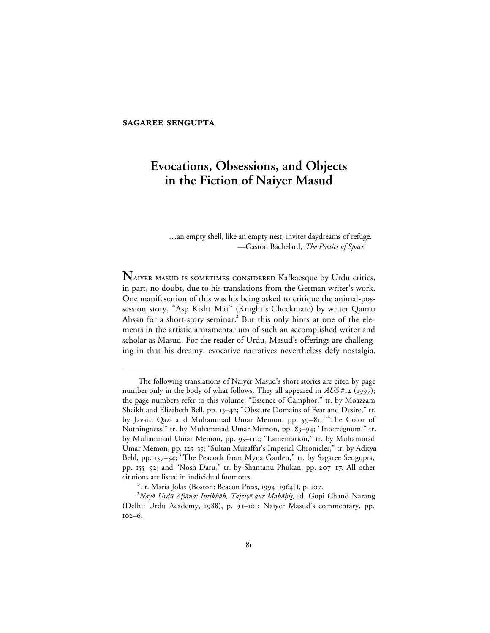# **SAGAREE SENGUPTA**

 $\overline{a}$ 

# **Evocations, Obsessions, and Objects in the Fiction of Naiyer Masud**

…an empty shell, like an empty nest, invites daydreams of refuge. —Gaston Bachelard, *The Poetics of Space*<sup>1</sup>

NAIVER MASUD IS SOMETIMES CONSIDERED Kafkaesque by Urdu critics, in part, no doubt, due to his translations from the German writer's work. One manifestation of this was his being asked to critique the animal-possession story, "Asp Kisht Māt" (Knight's Checkmate) by writer Qamar Ahsan for a short-story seminar.<sup>2</sup> But this only hints at one of the elements in the artistic armamentarium of such an accomplished writer and scholar as Masud. For the reader of Urdu, Masud's offerings are challenging in that his dreamy, evocative narratives nevertheless defy nostalgia.

The following translations of Naiyer Masud's short stories are cited by page number only in the body of what follows. They all appeared in  $AUS #12$  (1997); the page numbers refer to this volume: "Essence of Camphor," tr. by Moazzam Sheikh and Elizabeth Bell, pp. 13-42; "Obscure Domains of Fear and Desire," tr. by Javaid Qazi and Muhammad Umar Memon, pp. 59–81; "The Color of Nothingness," tr. by Muhammad Umar Memon, pp. 83-94; "Interregnum," tr. by Muhammad Umar Memon, pp. 95-110; "Lamentation," tr. by Muhammad Umar Memon, pp. 125-35; "Sultan Muzaffar's Imperial Chronicler," tr. by Aditya Behl, pp. 137-54; "The Peacock from Myna Garden," tr. by Sagaree Sengupta, pp. 155-92; and "Nosh Daru," tr. by Shantanu Phukan, pp. 207-17. All other citations are listed in individual footnotes.

<sup>&</sup>lt;sup>1</sup>Tr. Maria Jolas (Boston: Beacon Press, 1994 [1964]), p. 107.

 $^2$ Nayā Urdū Afsāna: Intikhāb, *Tajziyē aur Mabāḥis,* ed. Gopi Chand Narang (Delhi: Urdu Academy, 1988), p. 91-101; Naiyer Masud's commentary, pp.  $102 - 6$ .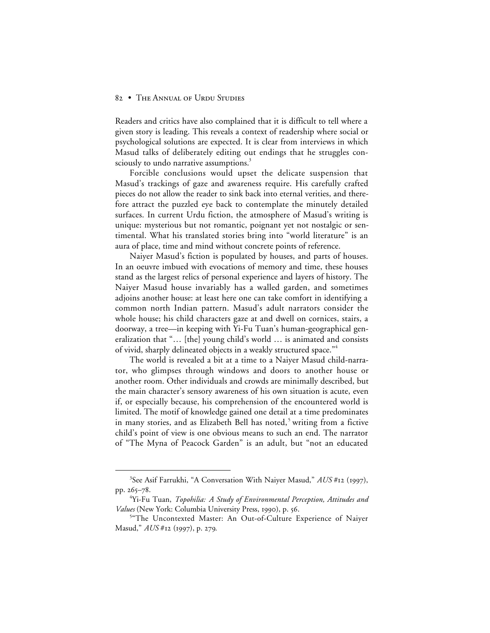Readers and critics have also complained that it is difficult to tell where a given story is leading. This reveals a context of readership where social or psychological solutions are expected. It is clear from interviews in which Masud talks of deliberately editing out endings that he struggles consciously to undo narrative assumptions.<sup>3</sup>

Forcible conclusions would upset the delicate suspension that Masud's trackings of gaze and awareness require. His carefully crafted pieces do not allow the reader to sink back into eternal verities, and therefore attract the puzzled eye back to contemplate the minutely detailed surfaces. In current Urdu fiction, the atmosphere of Masud's writing is unique: mysterious but not romantic, poignant yet not nostalgic or sentimental. What his translated stories bring into "world literature" is an aura of place, time and mind without concrete points of reference.

Naiyer Masud's fiction is populated by houses, and parts of houses. In an oeuvre imbued with evocations of memory and time, these houses stand as the largest relics of personal experience and layers of history. The Naiyer Masud house invariably has a walled garden, and sometimes adjoins another house: at least here one can take comfort in identifying a common north Indian pattern. Masud's adult narrators consider the whole house; his child characters gaze at and dwell on cornices, stairs, a doorway, a tree—in keeping with Yi-Fu Tuan's human-geographical generalization that "… [the] young child's world … is animated and consists of vivid, sharply delineated objects in a weakly structured space."4

The world is revealed a bit at a time to a Naiyer Masud child-narrator, who glimpses through windows and doors to another house or another room. Other individuals and crowds are minimally described, but the main character's sensory awareness of his own situation is acute, even if, or especially because, his comprehension of the encountered world is limited. The motif of knowledge gained one detail at a time predominates in many stories, and as Elizabeth Bell has noted,<sup>5</sup> writing from a fictive child's point of view is one obvious means to such an end. The narrator of "The Myna of Peacock Garden" is an adult, but "not an educated

 $\frac{1}{3}$ <sup>3</sup>See Asif Farrukhi, "A Conversation With Naiyer Masud," AUS #12 (1997), pp. 265-78.

<sup>4</sup> Yi-Fu Tuan, *Topohilia: A Study of Environmental Perception, Attitudes and Values* (New York: Columbia University Press, 1990), p. 56.

<sup>5</sup> "The Uncontexted Master: An Out-of-Culture Experience of Naiyer Masud,"  $AUS #12$  (1997), p. 279.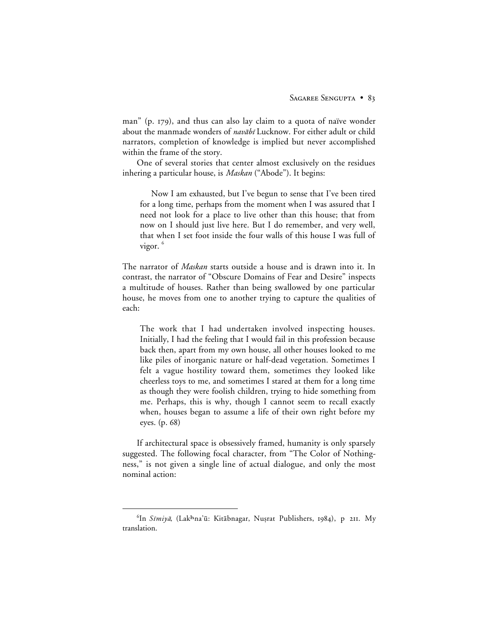man" (p.  $179$ ), and thus can also lay claim to a quota of naïve wonder about the manmade wonders of navabi Lucknow. For either adult or child narrators, completion of knowledge is implied but never accomplished within the frame of the story.

One of several stories that center almost exclusively on the residues inhering a particular house, is *Maskan* ("Abode"). It begins:

Now I am exhausted, but I've begun to sense that I've been tired for a long time, perhaps from the moment when I was assured that I need not look for a place to live other than this house; that from now on I should just live here. But I do remember, and very well, that when I set foot inside the four walls of this house I was full of vigor.<sup>6</sup>

The narrator of *Maskan* starts outside a house and is drawn into it. In contrast, the narrator of "Obscure Domains of Fear and Desire" inspects a multitude of houses. Rather than being swallowed by one particular house, he moves from one to another trying to capture the qualities of each:

The work that I had undertaken involved inspecting houses. Initially, I had the feeling that I would fail in this profession because back then, apart from my own house, all other houses looked to me like piles of inorganic nature or half-dead vegetation. Sometimes I felt a vague hostility toward them, sometimes they looked like cheerless toys to me, and sometimes I stared at them for a long time as though they were foolish children, trying to hide something from me. Perhaps, this is why, though I cannot seem to recall exactly when, houses began to assume a life of their own right before my eyes. (p. 68)

If architectural space is obsessively framed, humanity is only sparsely suggested. The following focal character, from "The Color of Nothingness," is not given a single line of actual dialogue, and only the most nominal action:

 <sup>6</sup> <sup>6</sup>In Simiyā, (Lakhna'ū: Kitābnagar, Nușrat Publishers, 1984), p 211. My translation.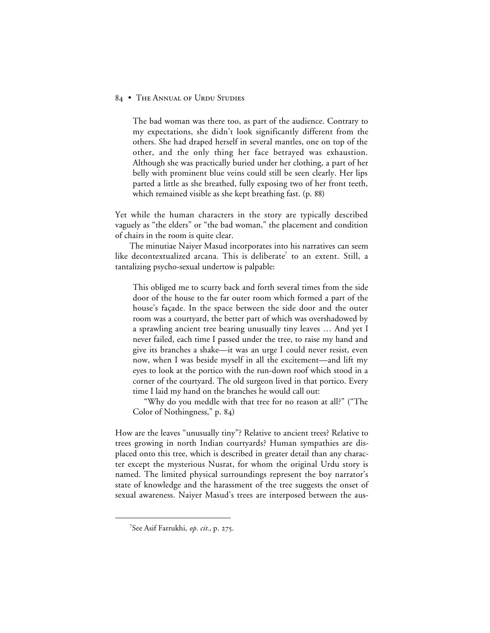The bad woman was there too, as part of the audience. Contrary to my expectations, she didn't look significantly different from the others. She had draped herself in several mantles, one on top of the other, and the only thing her face betrayed was exhaustion. Although she was practically buried under her clothing, a part of her belly with prominent blue veins could still be seen clearly. Her lips parted a little as she breathed, fully exposing two of her front teeth, which remained visible as she kept breathing fast. (p. 88)

Yet while the human characters in the story are typically described vaguely as "the elders" or "the bad woman," the placement and condition of chairs in the room is quite clear.

The minutiae Naiyer Masud incorporates into his narratives can seem like decontextualized arcana. This is deliberate<sup>7</sup> to an extent. Still, a tantalizing psycho-sexual undertow is palpable:

This obliged me to scurry back and forth several times from the side door of the house to the far outer room which formed a part of the house's façade. In the space between the side door and the outer room was a courtyard, the better part of which was overshadowed by a sprawling ancient tree bearing unusually tiny leaves … And yet I never failed, each time I passed under the tree, to raise my hand and give its branches a shake—it was an urge I could never resist, even now, when I was beside myself in all the excitement—and lift my eyes to look at the portico with the run-down roof which stood in a corner of the courtyard. The old surgeon lived in that portico. Every time I laid my hand on the branches he would call out:

"Why do you meddle with that tree for no reason at all?" ("The Color of Nothingness," p. 84)

How are the leaves "unusually tiny"? Relative to ancient trees? Relative to trees growing in north Indian courtyards? Human sympathies are displaced onto this tree, which is described in greater detail than any character except the mysterious Nusrat, for whom the original Urdu story is named. The limited physical surroundings represent the boy narrator's state of knowledge and the harassment of the tree suggests the onset of sexual awareness. Naiyer Masud's trees are interposed between the aus-

 $\frac{1}{7}$ <sup>7</sup>See Asif Farrukhi, *op. cit.*, p. 275.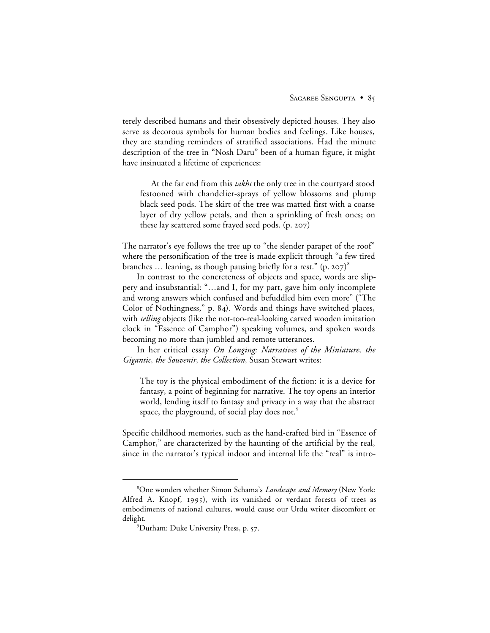terely described humans and their obsessively depicted houses. They also serve as decorous symbols for human bodies and feelings. Like houses, they are standing reminders of stratified associations. Had the minute description of the tree in "Nosh Daru" been of a human figure, it might have insinuated a lifetime of experiences:

At the far end from this *takht* the only tree in the courtyard stood festooned with chandelier-sprays of yellow blossoms and plump black seed pods. The skirt of the tree was matted first with a coarse layer of dry yellow petals, and then a sprinkling of fresh ones; on these lay scattered some frayed seed pods.  $(p. 207)$ 

The narrator's eye follows the tree up to "the slender parapet of the roof" where the personification of the tree is made explicit through "a few tired branches ... leaning, as though pausing briefly for a rest." (p. 207)<sup>8</sup>

In contrast to the concreteness of objects and space, words are slippery and insubstantial: "…and I, for my part, gave him only incomplete and wrong answers which confused and befuddled him even more" ("The Color of Nothingness," p. 84). Words and things have switched places, with *telling* objects (like the not-too-real-looking carved wooden imitation clock in "Essence of Camphor") speaking volumes, and spoken words becoming no more than jumbled and remote utterances.

In her critical essay *On Longing: Narratives of the Miniature, the Gigantic, the Souvenir, the Collection,* Susan Stewart writes:

The toy is the physical embodiment of the fiction: it is a device for fantasy, a point of beginning for narrative. The toy opens an interior world, lending itself to fantasy and privacy in a way that the abstract space, the playground, of social play does not.<sup>9</sup>

Specific childhood memories, such as the hand-crafted bird in "Essence of Camphor," are characterized by the haunting of the artificial by the real, since in the narrator's typical indoor and internal life the "real" is intro-

 <sup>8</sup> One wonders whether Simon Schama's *Landscape and Memory* (New York: Alfred A. Knopf, 1995), with its vanished or verdant forests of trees as embodiments of national cultures, would cause our Urdu writer discomfort or delight.

<sup>&</sup>lt;sup>9</sup>Durham: Duke University Press, p. 57.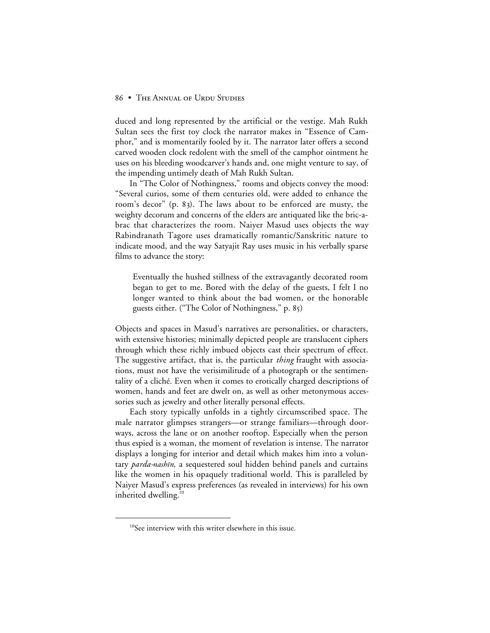duced and long represented by the artificial or the vestige. Mah Rukh Sultan sees the first toy clock the narrator makes in "Essence of Camphor," and is momentarily fooled by it. The narrator later offers a second carved wooden clock redolent with the smell of the camphor ointment he uses on his bleeding woodcarver's hands and, one might venture to say, of the impending untimely death of Mah Rukh Sultan.

In "The Color of Nothingness," rooms and objects convey the mood: "Several curios, some of them centuries old, were added to enhance the room's decor" (p. 83). The laws about to be enforced are musty, the weighty decorum and concerns of the elders are antiquated like the bric-abrac that characterizes the room. Naiyer Masud uses objects the way Rabindranath Tagore uses dramatically romantic/Sanskritic nature to indicate mood, and the way Satyajit Ray uses music in his verbally sparse films to advance the story:

Eventually the hushed stillness of the extravagantly decorated room began to get to me. Bored with the delay of the guests, I felt I no longer wanted to think about the bad women, or the honorable guests either. ("The Color of Nothingness," p. 85)

Objects and spaces in Masud's narratives are personalities, or characters, with extensive histories; minimally depicted people are translucent ciphers through which these richly imbued objects cast their spectrum of effect. The suggestive artifact, that is, the particular *thing* fraught with associations, must not have the verisimilitude of a photograph or the sentimentality of a cliché. Even when it comes to erotically charged descriptions of women, hands and feet are dwelt on, as well as other metonymous accessories such as jewelry and other literally personal effects.

Each story typically unfolds in a tightly circumscribed space. The male narrator glimpses strangers—or strange familiars—through doorways, across the lane or on another rooftop. Especially when the person thus espied is a woman, the moment of revelation is intense. The narrator displays a longing for interior and detail which makes him into a voluntary *parda-nashīn*, a sequestered soul hidden behind panels and curtains like the women in his opaquely traditional world. This is paralleled by Naiyer Masud's express preferences (as revealed in interviews) for his own inherited dwelling.<sup>10</sup>

<sup>&</sup>lt;sup>10</sup>See interview with this writer elsewhere in this issue.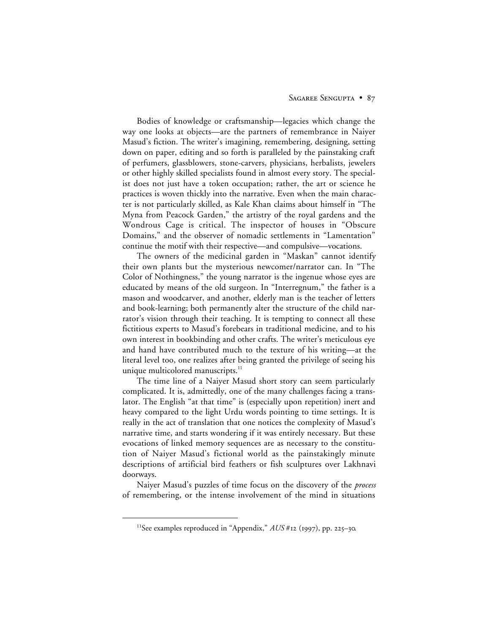# SAGAREE SENGUPTA . 87

Bodies of knowledge or craftsmanship—legacies which change the way one looks at objects—are the partners of remembrance in Naiyer Masud's fiction. The writer's imagining, remembering, designing, setting down on paper, editing and so forth is paralleled by the painstaking craft of perfumers, glassblowers, stone-carvers, physicians, herbalists, jewelers or other highly skilled specialists found in almost every story. The specialist does not just have a token occupation; rather, the art or science he practices is woven thickly into the narrative. Even when the main character is not particularly skilled, as Kale Khan claims about himself in "The Myna from Peacock Garden," the artistry of the royal gardens and the Wondrous Cage is critical. The inspector of houses in "Obscure Domains," and the observer of nomadic settlements in "Lamentation" continue the motif with their respective—and compulsive—vocations.

The owners of the medicinal garden in "Maskan" cannot identify their own plants but the mysterious newcomer/narrator can. In "The Color of Nothingness," the young narrator is the ingenue whose eyes are educated by means of the old surgeon. In "Interregnum," the father is a mason and woodcarver, and another, elderly man is the teacher of letters and book-learning; both permanently alter the structure of the child narrator's vision through their teaching. It is tempting to connect all these fictitious experts to Masud's forebears in traditional medicine, and to his own interest in bookbinding and other crafts. The writer's meticulous eye and hand have contributed much to the texture of his writing—at the literal level too, one realizes after being granted the privilege of seeing his unique multicolored manuscripts.<sup>11</sup>

The time line of a Naiyer Masud short story can seem particularly complicated. It is, admittedly, one of the many challenges facing a translator. The English "at that time" is (especially upon repetition) inert and heavy compared to the light Urdu words pointing to time settings. It is really in the act of translation that one notices the complexity of Masud's narrative time, and starts wondering if it was entirely necessary. But these evocations of linked memory sequences are as necessary to the constitution of Naiyer Masud's fictional world as the painstakingly minute descriptions of artificial bird feathers or fish sculptures over Lakhnavi doorways.

Naiyer Masud's puzzles of time focus on the discovery of the *process* of remembering, or the intense involvement of the mind in situations

<sup>&</sup>lt;sup>11</sup>See examples reproduced in "Appendix,"  $AUS #$ 12 (1997), pp. 225-30.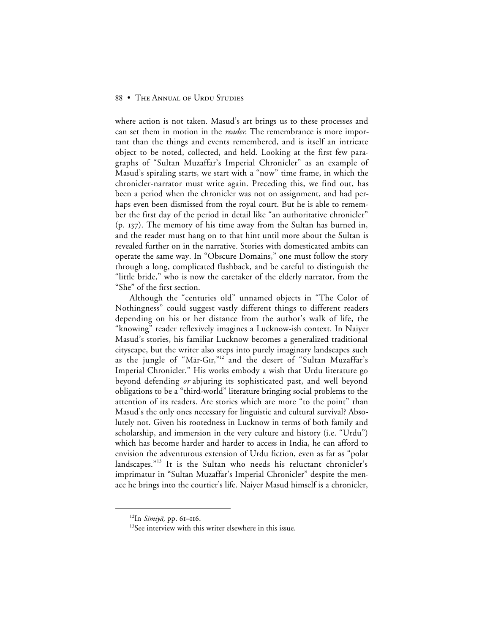where action is not taken. Masud's art brings us to these processes and can set them in motion in the *reader*. The remembrance is more important than the things and events remembered, and is itself an intricate object to be noted, collected, and held. Looking at the first few paragraphs of "Sultan Muzaffar's Imperial Chronicler" as an example of Masud's spiraling starts, we start with a "now" time frame, in which the chronicler-narrator must write again. Preceding this, we find out, has been a period when the chronicler was not on assignment, and had perhaps even been dismissed from the royal court. But he is able to remember the first day of the period in detail like "an authoritative chronicler"  $(p. 137)$ . The memory of his time away from the Sultan has burned in, and the reader must hang on to that hint until more about the Sultan is revealed further on in the narrative. Stories with domesticated ambits can operate the same way. In "Obscure Domains," one must follow the story through a long, complicated flashback, and be careful to distinguish the "little bride," who is now the caretaker of the elderly narrator, from the "She" of the first section.

Although the "centuries old" unnamed objects in "The Color of Nothingness" could suggest vastly different things to different readers depending on his or her distance from the author's walk of life, the "knowing" reader reflexively imagines a Lucknow-ish context. In Naiyer Masud's stories, his familiar Lucknow becomes a generalized traditional cityscape, but the writer also steps into purely imaginary landscapes such as the jungle of "Mār-Gīr,"<sup>12</sup> and the desert of "Sultan Muzaffar's Imperial Chronicler." His works embody a wish that Urdu literature go beyond defending *or* abjuring its sophisticated past, and well beyond obligations to be a "third-world" literature bringing social problems to the attention of its readers. Are stories which are more "to the point" than Masud's the only ones necessary for linguistic and cultural survival? Absolutely not. Given his rootedness in Lucknow in terms of both family and scholarship, and immersion in the very culture and history (i.e. "Urdu") which has become harder and harder to access in India, he can afford to envision the adventurous extension of Urdu fiction, even as far as "polar landscapes."<sup>13</sup> It is the Sultan who needs his reluctant chronicler's imprimatur in "Sultan Muzaffar's Imperial Chronicler" despite the menace he brings into the courtier's life. Naiyer Masud himself is a chronicler,

 $^{12}$ In Simiyā, pp. 61-116.

<sup>&</sup>lt;sup>13</sup>See interview with this writer elsewhere in this issue.